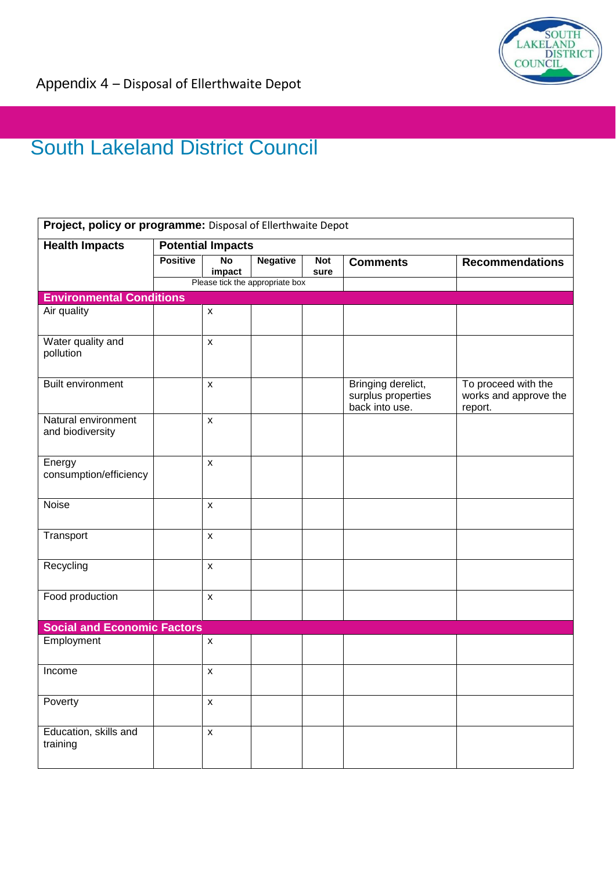

## South Lakeland District Council

| Project, policy or programme: Disposal of Ellerthwaite Depot |                          |                     |                                 |                    |                                                            |                                                         |  |  |  |
|--------------------------------------------------------------|--------------------------|---------------------|---------------------------------|--------------------|------------------------------------------------------------|---------------------------------------------------------|--|--|--|
| <b>Health Impacts</b>                                        | <b>Potential Impacts</b> |                     |                                 |                    |                                                            |                                                         |  |  |  |
|                                                              | <b>Positive</b>          | <b>No</b><br>impact | <b>Negative</b>                 | <b>Not</b><br>sure | <b>Comments</b>                                            | <b>Recommendations</b>                                  |  |  |  |
|                                                              |                          |                     | Please tick the appropriate box |                    |                                                            |                                                         |  |  |  |
| <b>Environmental Conditions</b>                              |                          |                     |                                 |                    |                                                            |                                                         |  |  |  |
| Air quality                                                  |                          | $\pmb{\mathsf{X}}$  |                                 |                    |                                                            |                                                         |  |  |  |
| Water quality and<br>pollution                               |                          | $\mathsf{x}$        |                                 |                    |                                                            |                                                         |  |  |  |
| <b>Built environment</b>                                     |                          | $\mathsf{x}$        |                                 |                    | Bringing derelict,<br>surplus properties<br>back into use. | To proceed with the<br>works and approve the<br>report. |  |  |  |
| Natural environment<br>and biodiversity                      |                          | $\pmb{\mathsf{X}}$  |                                 |                    |                                                            |                                                         |  |  |  |
| Energy<br>consumption/efficiency                             |                          | $\mathsf{x}$        |                                 |                    |                                                            |                                                         |  |  |  |
| Noise                                                        |                          | $\mathsf{x}$        |                                 |                    |                                                            |                                                         |  |  |  |
| Transport                                                    |                          | $\pmb{\mathsf{X}}$  |                                 |                    |                                                            |                                                         |  |  |  |
| Recycling                                                    |                          | $\pmb{\mathsf{X}}$  |                                 |                    |                                                            |                                                         |  |  |  |
| Food production                                              |                          | $\mathsf{x}$        |                                 |                    |                                                            |                                                         |  |  |  |
| <b>Social and Economic Factors</b>                           |                          |                     |                                 |                    |                                                            |                                                         |  |  |  |
| Employment                                                   |                          | $\pmb{\mathsf{X}}$  |                                 |                    |                                                            |                                                         |  |  |  |
| Income                                                       |                          | $\mathsf{x}$        |                                 |                    |                                                            |                                                         |  |  |  |
| Poverty                                                      |                          | $\pmb{\mathsf{X}}$  |                                 |                    |                                                            |                                                         |  |  |  |
| Education, skills and<br>training                            |                          | $\pmb{\mathsf{x}}$  |                                 |                    |                                                            |                                                         |  |  |  |